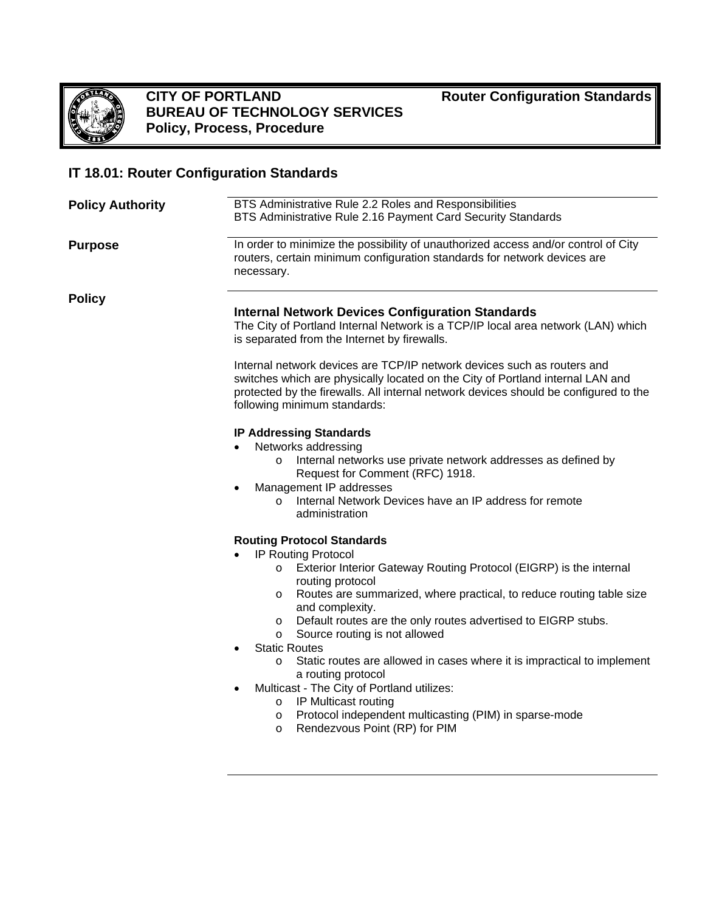

### **CITY OF PORTLAND BUREAU OF TECHNOLOGY SERVICES Policy, Process, Procedure**

**Router Configuration Standards**

## **IT 18.01: Router Configuration Standards**

| <b>Policy Authority</b> | BTS Administrative Rule 2.2 Roles and Responsibilities<br>BTS Administrative Rule 2.16 Payment Card Security Standards<br>In order to minimize the possibility of unauthorized access and/or control of City<br>routers, certain minimum configuration standards for network devices are<br>necessary.                                                                                                                                                                                                                                                                                                                                                                                                                     |  |  |  |  |
|-------------------------|----------------------------------------------------------------------------------------------------------------------------------------------------------------------------------------------------------------------------------------------------------------------------------------------------------------------------------------------------------------------------------------------------------------------------------------------------------------------------------------------------------------------------------------------------------------------------------------------------------------------------------------------------------------------------------------------------------------------------|--|--|--|--|
| <b>Purpose</b>          |                                                                                                                                                                                                                                                                                                                                                                                                                                                                                                                                                                                                                                                                                                                            |  |  |  |  |
| <b>Policy</b>           | <b>Internal Network Devices Configuration Standards</b><br>The City of Portland Internal Network is a TCP/IP local area network (LAN) which<br>is separated from the Internet by firewalls.<br>Internal network devices are TCP/IP network devices such as routers and<br>switches which are physically located on the City of Portland internal LAN and<br>protected by the firewalls. All internal network devices should be configured to the<br>following minimum standards:                                                                                                                                                                                                                                           |  |  |  |  |
|                         |                                                                                                                                                                                                                                                                                                                                                                                                                                                                                                                                                                                                                                                                                                                            |  |  |  |  |
|                         | <b>IP Addressing Standards</b><br>Networks addressing<br>Internal networks use private network addresses as defined by<br>$\circ$<br>Request for Comment (RFC) 1918.<br>Management IP addresses<br>$\bullet$<br>Internal Network Devices have an IP address for remote<br>$\circ$<br>administration                                                                                                                                                                                                                                                                                                                                                                                                                        |  |  |  |  |
|                         | <b>Routing Protocol Standards</b><br><b>IP Routing Protocol</b><br>o Exterior Interior Gateway Routing Protocol (EIGRP) is the internal<br>routing protocol<br>Routes are summarized, where practical, to reduce routing table size<br>$\circ$<br>and complexity.<br>o Default routes are the only routes advertised to EIGRP stubs.<br>Source routing is not allowed<br>$\circ$<br><b>Static Routes</b><br>$\bullet$<br>Static routes are allowed in cases where it is impractical to implement<br>$\circ$<br>a routing protocol<br>Multicast - The City of Portland utilizes:<br>o IP Multicast routing<br>Protocol independent multicasting (PIM) in sparse-mode<br>$\circ$<br>Rendezvous Point (RP) for PIM<br>$\circ$ |  |  |  |  |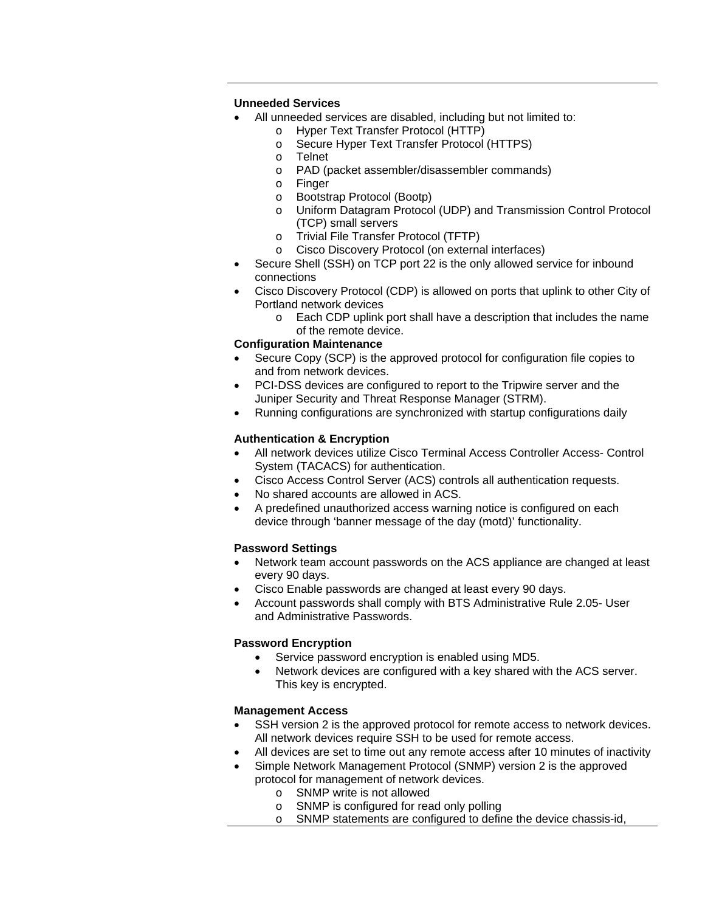#### **Unneeded Services**

- All unneeded services are disabled, including but not limited to:
	- o Hyper Text Transfer Protocol (HTTP)
	- o Secure Hyper Text Transfer Protocol (HTTPS)
	- **Telnet**
	- o PAD (packet assembler/disassembler commands)
	- o Finger
	- o Bootstrap Protocol (Bootp)
	- o Uniform Datagram Protocol (UDP) and Transmission Control Protocol (TCP) small servers
	- o Trivial File Transfer Protocol (TFTP)
	- o Cisco Discovery Protocol (on external interfaces)
- Secure Shell (SSH) on TCP port 22 is the only allowed service for inbound connections
- Cisco Discovery Protocol (CDP) is allowed on ports that uplink to other City of Portland network devices
	- o Each CDP uplink port shall have a description that includes the name of the remote device.

#### **Configuration Maintenance**

- Secure Copy (SCP) is the approved protocol for configuration file copies to and from network devices.
- PCI-DSS devices are configured to report to the Tripwire server and the Juniper Security and Threat Response Manager (STRM).
- Running configurations are synchronized with startup configurations daily

#### **Authentication & Encryption**

- All network devices utilize Cisco Terminal Access Controller Access- Control System (TACACS) for authentication.
- Cisco Access Control Server (ACS) controls all authentication requests.
- No shared accounts are allowed in ACS.
- A predefined unauthorized access warning notice is configured on each device through 'banner message of the day (motd)' functionality.

### **Password Settings**

- Network team account passwords on the ACS appliance are changed at least every 90 days.
- Cisco Enable passwords are changed at least every 90 days.
- Account passwords shall comply with BTS Administrative Rule 2.05- User and Administrative Passwords.

#### **Password Encryption**

- Service password encryption is enabled using MD5.
- Network devices are configured with a key shared with the ACS server. This key is encrypted.

### **Management Access**

- SSH version 2 is the approved protocol for remote access to network devices. All network devices require SSH to be used for remote access.
- All devices are set to time out any remote access after 10 minutes of inactivity
- Simple Network Management Protocol (SNMP) version 2 is the approved protocol for management of network devices.
	- o SNMP write is not allowed
	- o SNMP is configured for read only polling
	- o SNMP statements are configured to define the device chassis-id,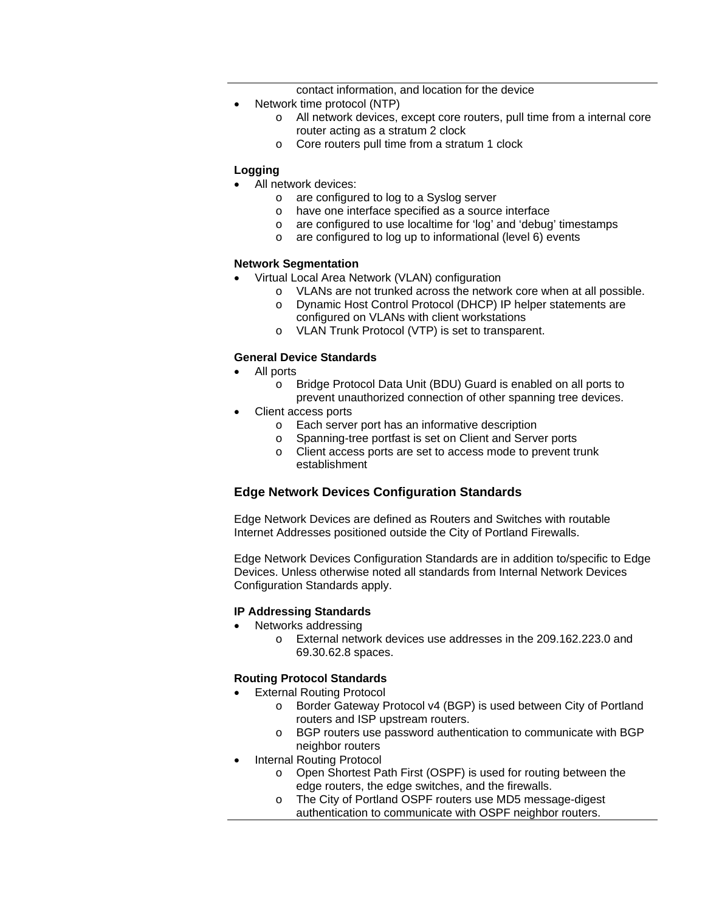contact information, and location for the device

- Network time protocol (NTP)
	- o All network devices, except core routers, pull time from a internal core router acting as a stratum 2 clock
	- o Core routers pull time from a stratum 1 clock

#### **Logging**

- All network devices:
	- o are configured to log to a Syslog server
	- o have one interface specified as a source interface
	- o are configured to use localtime for 'log' and 'debug' timestamps
	- o are configured to log up to informational (level 6) events

#### **Network Segmentation**

- Virtual Local Area Network (VLAN) configuration
	- o VLANs are not trunked across the network core when at all possible.
	- o Dynamic Host Control Protocol (DHCP) IP helper statements are configured on VLANs with client workstations
	- o VLAN Trunk Protocol (VTP) is set to transparent.

#### **General Device Standards**

- All ports
	- o Bridge Protocol Data Unit (BDU) Guard is enabled on all ports to prevent unauthorized connection of other spanning tree devices.
- Client access ports
	- o Each server port has an informative description
	- o Spanning-tree portfast is set on Client and Server ports
	- o Client access ports are set to access mode to prevent trunk establishment

#### **Edge Network Devices Configuration Standards**

Edge Network Devices are defined as Routers and Switches with routable Internet Addresses positioned outside the City of Portland Firewalls.

Edge Network Devices Configuration Standards are in addition to/specific to Edge Devices. Unless otherwise noted all standards from Internal Network Devices Configuration Standards apply.

#### **IP Addressing Standards**

- Networks addressing
	- o External network devices use addresses in the 209.162.223.0 and 69.30.62.8 spaces.

#### **Routing Protocol Standards**

- **External Routing Protocol** 
	- o Border Gateway Protocol v4 (BGP) is used between City of Portland routers and ISP upstream routers.
	- o BGP routers use password authentication to communicate with BGP neighbor routers
- Internal Routing Protocol
	- o Open Shortest Path First (OSPF) is used for routing between the edge routers, the edge switches, and the firewalls.
	- o The City of Portland OSPF routers use MD5 message-digest authentication to communicate with OSPF neighbor routers.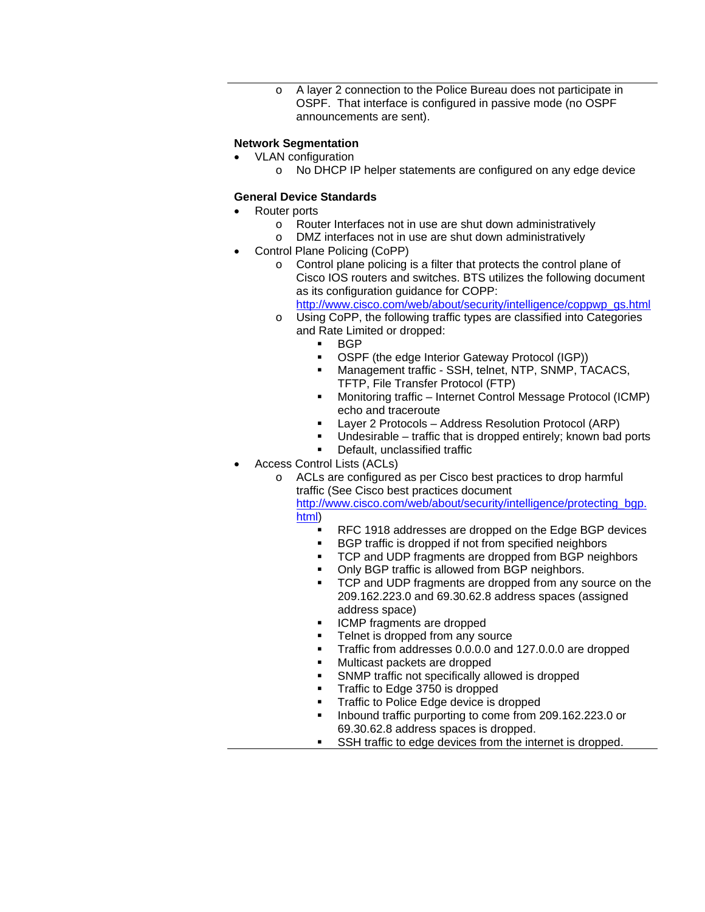A layer 2 connection to the Police Bureau does not participate in OSPF. That interface is configured in passive mode (no OSPF announcements are sent).

#### **Network Segmentation**

- VLAN configuration
	- o No DHCP IP helper statements are configured on any edge device

#### **General Device Standards**

- Router ports
	- o Router Interfaces not in use are shut down administratively<br>
	o DMZ interfaces not in use are shut down administratively
	- DMZ interfaces not in use are shut down administratively
- Control Plane Policing (CoPP)
	- o Control plane policing is a filter that protects the control plane of Cisco IOS routers and switches. BTS utilizes the following document as its configuration guidance for COPP:

http://www.cisco.com/web/about/security/intelligence/coppwp\_gs.html

- o Using CoPP, the following traffic types are classified into Categories and Rate Limited or dropped:
	- **BGP**
	- **OSPF (the edge Interior Gateway Protocol (IGP))**
	- **Management traffic SSH, telnet, NTP, SNMP, TACACS,** TFTP, File Transfer Protocol (FTP)
	- Monitoring traffic Internet Control Message Protocol (ICMP) echo and traceroute
	- Layer 2 Protocols Address Resolution Protocol (ARP)
	- Undesirable traffic that is dropped entirely; known bad ports
	- Default, unclassified traffic
- Access Control Lists (ACLs)
	- o ACLs are configured as per Cisco best practices to drop harmful traffic (See Cisco best practices document

http://www.cisco.com/web/about/security/intelligence/protecting\_bgp. html)

- RFC 1918 addresses are dropped on the Edge BGP devices
- **BGP** traffic is dropped if not from specified neighbors
- TCP and UDP fragments are dropped from BGP neighbors
- Only BGP traffic is allowed from BGP neighbors.
- **TCP and UDP fragments are dropped from any source on the** 209.162.223.0 and 69.30.62.8 address spaces (assigned address space)
- **ICMP** fragments are dropped
- Telnet is dropped from any source
- Traffic from addresses 0.0.0.0 and 127.0.0.0 are dropped
- Multicast packets are dropped
- SNMP traffic not specifically allowed is dropped
- Traffic to Edge 3750 is dropped
- Traffic to Police Edge device is dropped
- Inbound traffic purporting to come from 209.162.223.0 or 69.30.62.8 address spaces is dropped.
- SSH traffic to edge devices from the internet is dropped.